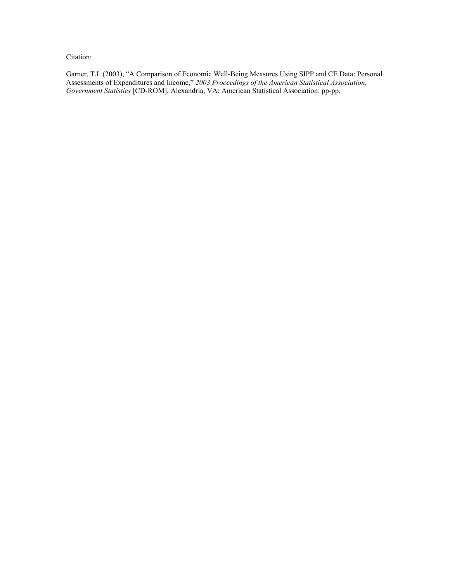Citation:

Garner, T.I. (2003), "A Comparison of Economic Well-Being Measures Using SIPP and CE Data: Personal Assessments of Expenditures and Income," *2003 Proceedings of the American Statistical Association*, *Government Statistics* [CD-ROM], Alexandria, VA: American Statistical Association: pp-pp.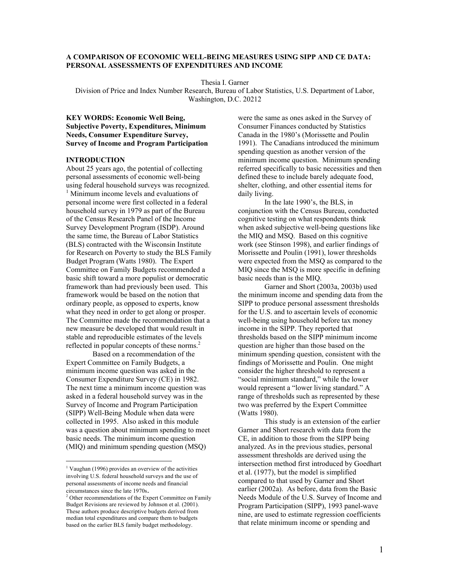# **A COMPARISON OF ECONOMIC WELL-BEING MEASURES USING SIPP AND CE DATA: PERSONAL ASSESSMENTS OF EXPENDITURES AND INCOME**

Thesia I. Garner

Division of Price and Index Number Research, Bureau of Labor Statistics, U.S. Department of Labor, Washington, D.C. 20212

**KEY WORDS: Economic Well Being, Subjective Poverty, Expenditures, Minimum Needs, Consumer Expenditure Survey, Survey of Income and Program Participation** 

### **INTRODUCTION**

About 25 years ago, the potential of collecting personal assessments of economic well-being using federal household surveys was recognized. <sup>1</sup> Minimum income levels and evaluations of personal income were first collected in a federal household survey in 1979 as part of the Bureau of the Census Research Panel of the Income Survey Development Program (ISDP). Around the same time, the Bureau of Labor Statistics (BLS) contracted with the Wisconsin Institute for Research on Poverty to study the BLS Family Budget Program (Watts 1980). The Expert Committee on Family Budgets recommended a basic shift toward a more populist or democratic framework than had previously been used. This framework would be based on the notion that ordinary people, as opposed to experts, know what they need in order to get along or prosper. The Committee made the recommendation that a new measure be developed that would result in stable and reproducible estimates of the levels reflected in popular concepts of these norms.<sup>2</sup>

 Based on a recommendation of the Expert Committee on Family Budgets, a minimum income question was asked in the Consumer Expenditure Survey (CE) in 1982. The next time a minimum income question was asked in a federal household survey was in the Survey of Income and Program Participation (SIPP) Well-Being Module when data were collected in 1995. Also asked in this module was a question about minimum spending to meet basic needs. The minimum income question (MIQ) and minimum spending question (MSQ)

 $\overline{a}$ 

were the same as ones asked in the Survey of Consumer Finances conducted by Statistics Canada in the 1980's (Morissette and Poulin 1991). The Canadians introduced the minimum spending question as another version of the minimum income question. Minimum spending referred specifically to basic necessities and then defined these to include barely adequate food, shelter, clothing, and other essential items for daily living.

 In the late 1990's, the BLS, in conjunction with the Census Bureau, conducted cognitive testing on what respondents think when asked subjective well-being questions like the MIQ and MSQ. Based on this cognitive work (see Stinson 1998), and earlier findings of Morissette and Poulin (1991), lower thresholds were expected from the MSQ as compared to the MIQ since the MSQ is more specific in defining basic needs than is the MIQ.

 Garner and Short (2003a, 2003b) used the minimum income and spending data from the SIPP to produce personal assessment thresholds for the U.S. and to ascertain levels of economic well-being using household before tax money income in the SIPP. They reported that thresholds based on the SIPP minimum income question are higher than those based on the minimum spending question, consistent with the findings of Morissette and Poulin. One might consider the higher threshold to represent a "social minimum standard," while the lower would represent a "lower living standard." A range of thresholds such as represented by these two was preferred by the Expert Committee (Watts 1980).

 This study is an extension of the earlier Garner and Short research with data from the CE, in addition to those from the SIPP being analyzed. As in the previous studies, personal assessment thresholds are derived using the intersection method first introduced by Goedhart et al. (1977), but the model is simplified compared to that used by Garner and Short earlier (2002a). As before, data from the Basic Needs Module of the U.S. Survey of Income and Program Participation (SIPP), 1993 panel-wave nine, are used to estimate regression coefficients that relate minimum income or spending and

<sup>&</sup>lt;sup>1</sup> Vaughan (1996) provides an overview of the activities involving U.S. federal household surveys and the use of personal assessments of income needs and financial circumstances since the late 1970s. 2

 $2$  Other recommendations of the Expert Committee on Family Budget Revisions are reviewed by Johnson et al. (2001). These authors produce descriptive budgets derived from median total expenditures and compare them to budgets based on the earlier BLS family budget methodology.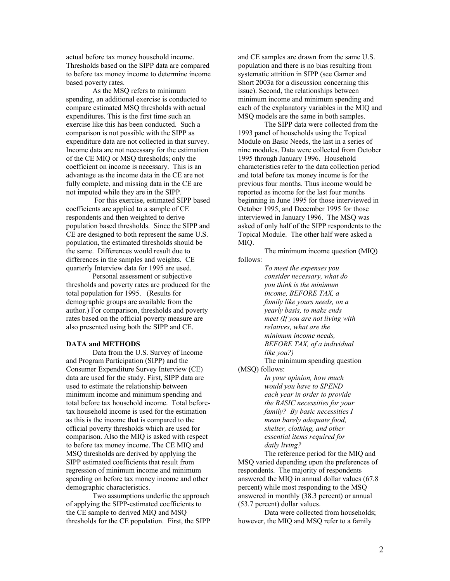actual before tax money household income. Thresholds based on the SIPP data are compared to before tax money income to determine income based poverty rates.

As the MSQ refers to minimum spending, an additional exercise is conducted to compare estimated MSQ thresholds with actual expenditures. This is the first time such an exercise like this has been conducted. Such a comparison is not possible with the SIPP as expenditure data are not collected in that survey. Income data are not necessary for the estimation of the CE MIQ or MSQ thresholds; only the coefficient on income is necessary. This is an advantage as the income data in the CE are not fully complete, and missing data in the CE are not imputed while they are in the SIPP.

 For this exercise, estimated SIPP based coefficients are applied to a sample of CE respondents and then weighted to derive population based thresholds. Since the SIPP and CE are designed to both represent the same U.S. population, the estimated thresholds should be the same. Differences would result due to differences in the samples and weights. CE quarterly Interview data for 1995 are used.

Personal assessment or subjective thresholds and poverty rates are produced for the total population for 1995. (Results for demographic groups are available from the author.) For comparison, thresholds and poverty rates based on the official poverty measure are also presented using both the SIPP and CE.

# **DATA and METHODS**

 Data from the U.S. Survey of Income and Program Participation (SIPP) and the Consumer Expenditure Survey Interview (CE) data are used for the study. First, SIPP data are used to estimate the relationship between minimum income and minimum spending and total before tax household income. Total beforetax household income is used for the estimation as this is the income that is compared to the official poverty thresholds which are used for comparison. Also the MIQ is asked with respect to before tax money income. The CE MIQ and MSQ thresholds are derived by applying the SIPP estimated coefficients that result from regression of minimum income and minimum spending on before tax money income and other demographic characteristics.

 Two assumptions underlie the approach of applying the SIPP-estimated coefficients to the CE sample to derived MIQ and MSQ thresholds for the CE population. First, the SIPP and CE samples are drawn from the same U.S. population and there is no bias resulting from systematic attrition in SIPP (see Garner and Short 2003a for a discussion concerning this issue). Second, the relationships between minimum income and minimum spending and each of the explanatory variables in the MIQ and MSQ models are the same in both samples.

 The SIPP data were collected from the 1993 panel of households using the Topical Module on Basic Needs, the last in a series of nine modules. Data were collected from October 1995 through January 1996. Household characteristics refer to the data collection period and total before tax money income is for the previous four months. Thus income would be reported as income for the last four months beginning in June 1995 for those interviewed in October 1995, and December 1995 for those interviewed in January 1996. The MSQ was asked of only half of the SIPP respondents to the Topical Module. The other half were asked a MIQ.

 The minimum income question (MIQ) follows:

> *To meet the expenses you consider necessary, what do you think is the minimum income, BEFORE TAX, a family like yours needs, on a yearly basis, to make ends meet (If you are not living with relatives, what are the minimum income needs, BEFORE TAX, of a individual like you?)*

The minimum spending question

(MSQ) follows:

*In your opinion, how much would you have to SPEND each year in order to provide the BASIC necessities for your family? By basic necessities I mean barely adequate food, shelter, clothing, and other essential items required for daily living?* 

 The reference period for the MIQ and MSQ varied depending upon the preferences of respondents. The majority of respondents answered the MIQ in annual dollar values (67.8 percent) while most responding to the MSQ answered in monthly (38.3 percent) or annual (53.7 percent) dollar values.

 Data were collected from households; however, the MIQ and MSQ refer to a family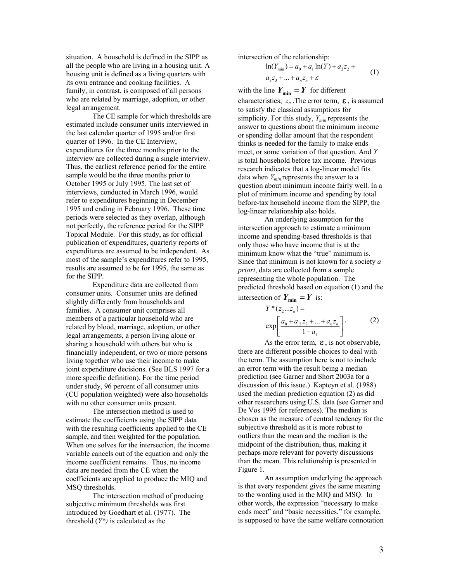situation. A household is defined in the SIPP as all the people who are living in a housing unit. A housing unit is defined as a living quarters with its own entrance and cooking facilities. A family, in contrast, is composed of all persons who are related by marriage, adoption, or other legal arrangement.

 The CE sample for which thresholds are estimated include consumer units interviewed in the last calendar quarter of 1995 and/or first quarter of 1996. In the CE Interview, expenditures for the three months prior to the interview are collected during a single interview. Thus, the earliest reference period for the entire sample would be the three months prior to October 1995 or July 1995. The last set of interviews, conducted in March 1996, would refer to expenditures beginning in December 1995 and ending in February 1996. These time periods were selected as they overlap, although not perfectly, the reference period for the SIPP Topical Module. For this study, as for official publication of expenditures, quarterly reports of expenditures are assumed to be independent. As most of the sample's expenditures refer to 1995, results are assumed to be for 1995, the same as for the SIPP.

 Expenditure data are collected from consumer units. Consumer units are defined slightly differently from households and families. A consumer unit comprises all members of a particular household who are related by blood, marriage, adoption, or other legal arrangements, a person living alone or sharing a household with others but who is financially independent, or two or more persons living together who use their income to make joint expenditure decisions. (See BLS 1997 for a more specific definition). For the time period under study, 96 percent of all consumer units (CU population weighted) were also households with no other consumer units present.

 The intersection method is used to estimate the coefficients using the SIPP data with the resulting coefficients applied to the CE sample, and then weighted for the population. When one solves for the intersection, the income variable cancels out of the equation and only the income coefficient remains. Thus, no income data are needed from the CE when the coefficients are applied to produce the MIQ and MSQ thresholds.

 The intersection method of producing subjective minimum thresholds was first introduced by Goedhart et al. (1977). The threshold (*Y\*)* is calculated as the

intersection of the relationship:

$$
\ln(Y_{\min}) = a_0 + a_1 \ln(Y) + a_2 z_2 + a_3 z_3 + \dots + a_n z_n + \varepsilon
$$
 (1)

with the line  $Y_{\text{min}} = Y$  for different characteristics,  $z_n$ . The error term,  $\epsilon$ , is assumed to satisfy the classical assumptions for simplicity. For this study, *Ymin* represents the answer to questions about the minimum income or spending dollar amount that the respondent thinks is needed for the family to make ends meet, or some variation of that question. And *Y* is total household before tax income. Previous research indicates that a log-linear model fits data when *Ymin* represents the answer to a question about minimum income fairly well. In a plot of minimum income and spending by total before-tax household income from the SIPP, the log-linear relationship also holds.

An underlying assumption for the intersection approach to estimate a minimum income and spending-based thresholds is that only those who have income that is at the minimum know what the "true" minimum is. Since that minimum is not known for a society *a priori*, data are collected from a sample representing the whole population. The predicted threshold based on equation (1) and the intersection of  $Y_{\min} = Y$  is:

$$
Y^*(z_2...z_n) = \n\exp\left[\frac{a_0 + a_2 z_2 + ... + a_n z_n}{1 - a_1}\right].
$$
\n(2)

As the error term,  $\epsilon$ , is not observable, there are different possible choices to deal with the term. The assumption here is not to include an error term with the result being a median prediction (see Garner and Short 2003a for a discussion of this issue.) Kapteyn et al. (1988) used the median prediction equation (2) as did other researchers using U.S. data (see Garner and De Vos 1995 for references). The median is chosen as the measure of central tendency for the subjective threshold as it is more robust to outliers than the mean and the median is the midpoint of the distribution, thus, making it perhaps more relevant for poverty discussions than the mean. This relationship is presented in Figure 1.

An assumption underlying the approach is that every respondent gives the same meaning to the wording used in the MIQ and MSQ. In other words, the expression "necessary to make ends meet" and "basic necessities," for example, is supposed to have the same welfare connotation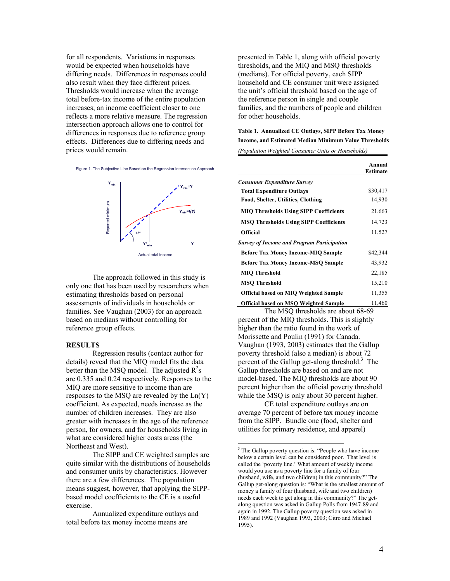for all respondents. Variations in responses would be expected when households have differing needs. Differences in responses could also result when they face different prices. Thresholds would increase when the average total before-tax income of the entire population increases; an income coefficient closer to one reflects a more relative measure. The regression intersection approach allows one to control for differences in responses due to reference group effects. Differences due to differing needs and prices would remain.

Figure 1. The Subjective Line Based on the Regression Intersection Approach



The approach followed in this study is only one that has been used by researchers when estimating thresholds based on personal assessments of individuals in households or families. See Vaughan (2003) for an approach based on medians without controlling for reference group effects.

## **RESULTS**

 Regression results (contact author for details) reveal that the MIQ model fits the data better than the MSQ model. The adjusted  $R^2$ s are 0.335 and 0.24 respectively. Responses to the MIQ are more sensitive to income than are responses to the MSQ are revealed by the Ln(Y) coefficient. As expected, needs increase as the number of children increases. They are also greater with increases in the age of the reference person, for owners, and for households living in what are considered higher costs areas (the Northeast and West).

 The SIPP and CE weighted samples are quite similar with the distributions of households and consumer units by characteristics. However there are a few differences. The population means suggest, however, that applying the SIPPbased model coefficients to the CE is a useful exercise.

 Annualized expenditure outlays and total before tax money income means are

presented in Table 1, along with official poverty thresholds, and the MIQ and MSQ thresholds (medians). For official poverty, each SIPP household and CE consumer unit were assigned the unit's official threshold based on the age of the reference person in single and couple families, and the numbers of people and children for other households.

# **Table 1. Annualized CE Outlays, SIPP Before Tax Money Income, and Estimated Median Minimum Value Thresholds**

*(Population Weighted Consumer Units or Households)* 

|                                                   | Annual<br>Estimate |
|---------------------------------------------------|--------------------|
| <b>Consumer Expenditure Survey</b>                |                    |
| <b>Total Expenditure Outlays</b>                  | \$30,417           |
| <b>Food, Shelter, Utilities, Clothing</b>         | 14,930             |
| <b>MIQ Thresholds Using SIPP Coefficients</b>     | 21,663             |
| <b>MSQ Thresholds Using SIPP Coefficients</b>     | 14,723             |
| <b>Official</b>                                   | 11,527             |
| <b>Survey of Income and Program Participation</b> |                    |
| <b>Before Tax Money Income-MIQ Sample</b>         | \$42,344           |
| <b>Before Tax Money Income-MSQ Sample</b>         | 43,932             |
| <b>MIO Threshold</b>                              | 22,185             |
| <b>MSO Threshold</b>                              | 15,210             |
| <b>Official based on MIQ Weighted Sample</b>      | 11,355             |
| <b>Official based on MSQ Weighted Sample</b>      | 11,460             |

 The MSQ thresholds are about 68-69 percent of the MIQ thresholds. This is slightly higher than the ratio found in the work of Morissette and Poulin (1991) for Canada. Vaughan (1993, 2003) estimates that the Gallup poverty threshold (also a median) is about 72 percent of the Gallup get-along threshold.<sup>3</sup> The Gallup thresholds are based on and are not model-based. The MIQ thresholds are about 90 percent higher than the official poverty threshold while the MSQ is only about 30 percent higher.

 CE total expenditure outlays are on average 70 percent of before tax money income from the SIPP. Bundle one (food, shelter and utilities for primary residence, and apparel)

 $\overline{a}$ 

<sup>&</sup>lt;sup>3</sup> The Gallup poverty question is: "People who have income below a certain level can be considered poor. That level is called the 'poverty line.' What amount of weekly income would you use as a poverty line for a family of four (husband, wife, and two children) in this community?" The Gallup get-along question is: "What is the smallest amount of money a family of four (husband, wife and two children) needs each week to get along in this community?" The getalong question was asked in Gallup Polls from 1947-89 and again in 1992. The Gallup poverty question was asked in 1989 and 1992 (Vaughan 1993, 2003; Citro and Michael 1995).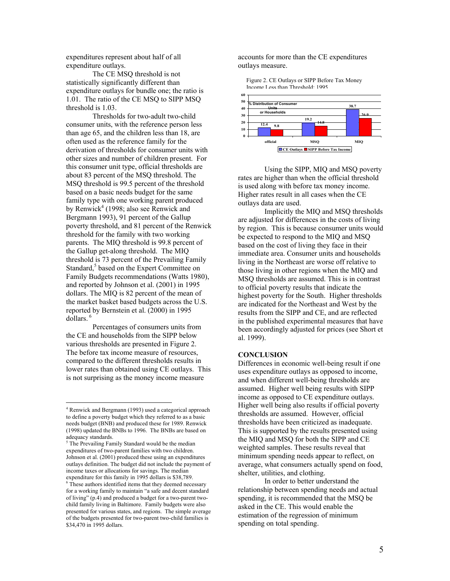expenditures represent about half of all expenditure outlays.

 The CE MSQ threshold is not statistically significantly different than expenditure outlays for bundle one; the ratio is 1.01. The ratio of the CE MSQ to SIPP MSQ threshold is 1.03.

 Thresholds for two-adult two-child consumer units, with the reference person less than age 65, and the children less than 18, are often used as the reference family for the derivation of thresholds for consumer units with other sizes and number of children present. For this consumer unit type, official thresholds are about 83 percent of the MSQ threshold. The MSQ threshold is 99.5 percent of the threshold based on a basic needs budget for the same family type with one working parent produced by Renwick<sup>4</sup> (1998; also see Renwick and Bergmann 1993), 91 percent of the Gallup poverty threshold, and 81 percent of the Renwick threshold for the family with two working parents. The MIQ threshold is 99.8 percent of the Gallup get-along threshold. The MIQ threshold is 73 percent of the Prevailing Family Standard,<sup>5</sup> based on the Expert Committee on Family Budgets recommendations (Watts 1980), and reported by Johnson et al. (2001) in 1995 dollars. The MIQ is 82 percent of the mean of the market basket based budgets across the U.S. reported by Bernstein et al. (2000) in 1995 dollars.<sup>6</sup>

 Percentages of consumers units from the CE and households from the SIPP below various thresholds are presented in Figure 2. The before tax income measure of resources, compared to the different thresholds results in lower rates than obtained using CE outlays. This is not surprising as the money income measure

 $\overline{a}$ 

accounts for more than the CE expenditures outlays measure.

Figure 2. CE Outlays or SIPP Before Tax Money Income Less than Threshold: 1995



Using the SIPP, MIQ and MSQ poverty rates are higher than when the official threshold is used along with before tax money income. Higher rates result in all cases when the CE outlays data are used.

 Implicitly the MIQ and MSQ thresholds are adjusted for differences in the costs of living by region. This is because consumer units would be expected to respond to the MIQ and MSQ based on the cost of living they face in their immediate area. Consumer units and households living in the Northeast are worse off relative to those living in other regions when the MIQ and MSQ thresholds are assumed. This is in contrast to official poverty results that indicate the highest poverty for the South. Higher thresholds are indicated for the Northeast and West by the results from the SIPP and CE, and are reflected in the published experimental measures that have been accordingly adjusted for prices (see Short et al. 1999).

# **CONCLUSION**

Differences in economic well-being result if one uses expenditure outlays as opposed to income, and when different well-being thresholds are assumed. Higher well being results with SIPP income as opposed to CE expenditure outlays. Higher well being also results if official poverty thresholds are assumed. However, official thresholds have been criticized as inadequate. This is supported by the results presented using the MIQ and MSQ for both the SIPP and CE weighted samples. These results reveal that minimum spending needs appear to reflect, on average, what consumers actually spend on food, shelter, utilities, and clothing.

 In order to better understand the relationship between spending needs and actual spending, it is recommended that the MSQ be asked in the CE. This would enable the estimation of the regression of minimum spending on total spending.

<sup>&</sup>lt;sup>4</sup> Renwick and Bergmann (1993) used a categorical approach to define a poverty budget which they referred to as a basic needs budget (BNB) and produced these for 1989. Renwick (1998) updated the BNBs to 1996. The BNBs are based on adequacy standards.

<sup>&</sup>lt;sup>5</sup> The Prevailing Family Standard would be the median expenditures of two-parent families with two children. Johnson et al. (2001) produced these using an expenditures outlays definition. The budget did not include the payment of income taxes or allocations for savings. The median

expenditure for this family in 1995 dollars is \$38,789. 6 These authors identified items that they deemed necessary for a working family to maintain "a safe and decent standard of living" (p.4) and produced a budget for a two-parent twochild family living in Baltimore. Family budgets were also presented for various states, and regions. The simple average of the budgets presented for two-parent two-child families is \$34,470 in 1995 dollars.